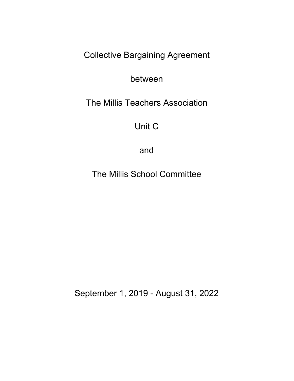Collective Bargaining Agreement

between

The Millis Teachers Association

Unit C

and

The Millis School Committee

September 1, 2019 - August 31, 2022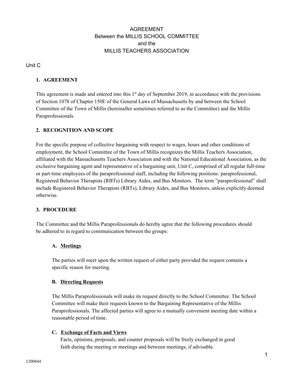# AGREEMENT Between the MILLIS SCHOOL COMMITTEE and the MILLIS TEACHERS ASSOCIATION

Unit C

# **1. AGREEMENT**

This agreement is made and entered into this 1<sup>st</sup> day of September 2019, in accordance with the provisions of Section 1078 of Chapter 150E of the General Laws of Massachusetts by and between the School Committee of the Town of Millis (hereinafter sometimes referred to as the Committee) and the Millis Paraprofessionals.

# **2. RECOGNITION AND SCOPE**

For the specific purpose of collective bargaining with respect to wages, hours and other conditions of employment, the School Committee of the Town of Millis recognizes the Millis Teachers Association, affiliated with the Massachusetts Teachers Association and with the National Educational Association, as the exclusive bargaining agent and representative of a bargaining unit, Unit C, comprised of all regular full-time or part-time employees of the paraprofessional staff, including the following positions: paraprofessional, Registered Behavior Therapists (RBTs) Library Aides, and Bus Monitors. The term "paraprofessional" shall include Registered Behavior Therapists (RBTs), Library Aides, and Bus Monitors, unless explicitly deemed otherwise.

## **3. PROCEDURE**

The Committee and the Millis Paraprofessionals do hereby agree that the following procedures should be adhered to in regard to communication between the groups:

# **A. Meetings**

The parties will meet upon the written request of either party provided the request contains a specific reason for meeting.

## **B. Directing Requests**

The Millis Paraprofessionals will make its request directly to the School Committee. The School Committee will make their requests known to the Bargaining Representative of the Millis Paraprofessionals. The affected parties will agree to a mutually convenient meeting date within a reasonable period of time.

# **C. Exchange of Facts and Views**

Facts, opinions, proposals, and counter proposals will be freely exchanged in good faith during the meeting or meetings and between meetings, if advisable.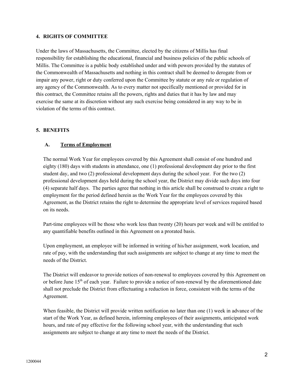#### **4. RIGHTS OF COMMITTEE**

Under the laws of Massachusetts, the Committee, elected by the citizens of Millis has final responsibility for establishing the educational, financial and business policies of the public schools of Millis. The Committee is a public body established under and with powers provided by the statutes of the Commonwealth of Massachusetts and nothing in this contract shall be deemed to derogate from or impair any power, right or duty conferred upon the Committee by statute or any rule or regulation of any agency of the Commonwealth. As to every matter not specifically mentioned or provided for in this contract, the Committee retains all the powers, rights and duties that it has by law and may exercise the same at its discretion without any such exercise being considered in any way to be in violation of the terms of this contract.

#### **5. BENEFITS**

#### **A. Terms of Employment**

The normal Work Year for employees covered by this Agreement shall consist of one hundred and eighty (180) days with students in attendance, one (1) professional development day prior to the first student day, and two (2) professional development days during the school year. For the two (2) professional development days held during the school year, the District may divide such days into four (4) separate half days. The parties agree that nothing in this article shall be construed to create a right to employment for the period defined herein as the Work Year for the employees covered by this Agreement, as the District retains the right to determine the appropriate level of services required based on its needs.

Part-time employees will be those who work less than twenty (20) hours per week and will be entitled to any quantifiable benefits outlined in this Agreement on a prorated basis.

Upon employment, an employee will be informed in writing of his/her assignment, work location, and rate of pay, with the understanding that such assignments are subject to change at any time to meet the needs of the District.

The District will endeavor to provide notices of non-renewal to employees covered by this Agreement on or before June 15<sup>th</sup> of each year. Failure to provide a notice of non-renewal by the aforementioned date shall not preclude the District from effectuating a reduction in force, consistent with the terms of the Agreement.

When feasible, the District will provide written notification no later than one (1) week in advance of the start of the Work Year, as defined herein, informing employees of their assignments, anticipated work hours, and rate of pay effective for the following school year, with the understanding that such assignments are subject to change at any time to meet the needs of the District.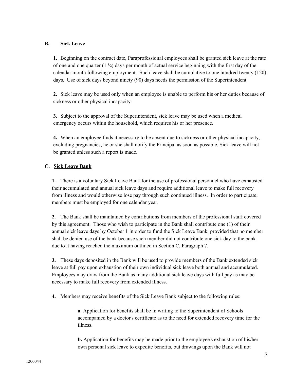# **B. Sick Leave**

**1.** Beginning on the contract date, Paraprofessional employees shall be granted sick leave at the rate of one and one quarter  $(1 \frac{1}{4})$  days per month of actual service beginning with the first day of the calendar month following employment. Such leave shall be cumulative to one hundred twenty (120) days. Use of sick days beyond ninety (90) days needs the permission of the Superintendent.

**2.** Sick leave may be used only when an employee is unable to perform his or her duties because of sickness or other physical incapacity.

**3.** Subject to the approval of the Superintendent, sick leave may be used when a medical emergency occurs within the household, which requires his or her presence.

**4.** When an employee finds it necessary to be absent due to sickness or other physical incapacity, excluding pregnancies, he or she shall notify the Principal as soon as possible. Sick leave will not be granted unless such a report is made.

# **C. Sick Leave Bank**

**1.** There is a voluntary Sick Leave Bank for the use of professional personnel who have exhausted their accumulated and annual sick leave days and require additional leave to make full recovery from illness and would otherwise lose pay through such continued illness. In order to participate, members must be employed for one calendar year.

**2.** The Bank shall be maintained by contributions from members of the professional staff covered by this agreement. Those who wish to participate in the Bank shall contribute one (1) of their annual sick leave days by October 1 in order to fund the Sick Leave Bank, provided that no member shall be denied use of the bank because such member did not contribute one sick day to the bank due to it having reached the maximum outlined in Section C, Paragraph 7.

**3.** These days deposited in the Bank will be used to provide members of the Bank extended sick leave at full pay upon exhaustion of their own individual sick leave both annual and accumulated. Employees may draw from the Bank as many additional sick leave days with full pay as may be necessary to make full recovery from extended illness.

**4.** Members may receive benefits of the Sick Leave Bank subject to the following rules:

**a.** Application for benefits shall be in writing to the Superintendent of Schools accompanied by a doctor's certificate as to the need for extended recovery time for the illness.

**b.** Application for benefits may be made prior to the employee's exhaustion of his/her own personal sick leave to expedite benefits, but drawings upon the Bank will not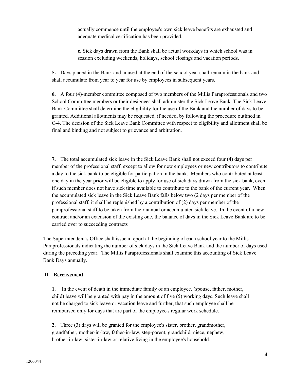actually commence until the employee's own sick leave benefits are exhausted and adequate medical certification has been provided.

**c.** Sick days drawn from the Bank shall be actual workdays in which school was in session excluding weekends, holidays, school closings and vacation periods.

**5.** Days placed in the Bank and unused at the end of the school year shall remain in the bank and shall accumulate from year to year for use by employees in subsequent years.

**6.** A four (4)-member committee composed of two members of the Millis Paraprofessionals and two School Committee members or their designees shall administer the Sick Leave Bank. The Sick Leave Bank Committee shall determine the eligibility for the use of the Bank and the number of days to be granted. Additional allotments may be requested, if needed, by following the procedure outlined in C-4. The decision of the Sick Leave Bank Committee with respect to eligibility and allotment shall be final and binding and not subject to grievance and arbitration.

**7.** The total accumulated sick leave in the Sick Leave Bank shall not exceed four (4) days per member of the professional staff, except to allow for new employees or new contributors to contribute a day to the sick bank to be eligible for participation in the bank. Members who contributed at least one day in the year prior will be eligible to apply for use of sick days drawn from the sick bank, even if such member does not have sick time available to contribute to the bank of the current year. When the accumulated sick leave in the Sick Leave Bank falls below two (2 days per member of the professional staff, it shall be replenished by a contribution of (2) days per member of the paraprofessional staff to be taken from their annual or accumulated sick leave. In the event of a new contract and/or an extension of the existing one, the balance of days in the Sick Leave Bank are to be carried over to succeeding contracts

The Superintendent's Office shall issue a report at the beginning of each school year to the Millis Paraprofessionals indicating the number of sick days in the Sick Leave Bank and the number of days used during the preceding year. The Millis Paraprofessionals shall examine this accounting of Sick Leave Bank Days annually.

## **D. Bereavement**

**1.** In the event of death in the immediate family of an employee, (spouse, father, mother, child) leave will be granted with pay in the amount of five (5) working days. Such leave shall not be charged to sick leave or vacation leave and further, that such employee shall be reimbursed only for days that are part of the employee's regular work schedule.

**2.** Three (3) days will be granted for the employee's sister, brother, grandmother, grandfather, mother-in-law, father-in-law, step-parent, grandchild, niece, nephew, brother-in-law, sister-in-law or relative living in the employee's household.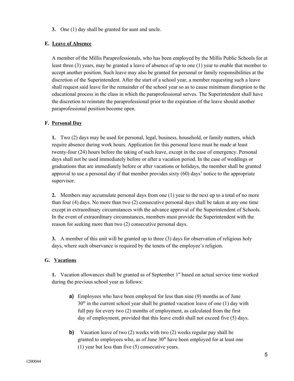**3.** One (1) day shall be granted for aunt and uncle.

# **E. Leave of Absence**

A member of the Millis Paraprofessionals, who has been employed by the Millis Public Schools for at least three (3) years, may be granted a leave of absence of up to one (1) year to enable that member to accept another position. Such leave may also be granted for personal or family responsibilities at the discretion of the Superintendent. After the start of a school year, a member requesting such a leave shall request said leave for the remainder of the school year so as to cause minimum disruption to the educational process in the class in which the paraprofessional serves. The Superintendent shall have the discretion to reinstate the paraprofessional prior to the expiration of the leave should another paraprofessional position become open.

# **F. Personal Day**

**1.** Two (2) days may be used for personal, legal, business, household, or family matters, which require absence during work hours. Application for this personal leave must be made at least twenty-four (24) hours before the taking of such leave, except in the case of emergency. Personal days shall not be used immediately before or after a vacation period. In the case of weddings or graduations that are immediately before or after vacations or holidays, the member shall be granted approval to use a personal day if that member provides sixty (60) days' notice to the appropriate supervisor.

**2.** Members may accumulate personal days from one (1) year to the next up to a total of no more than four (4) days. No more than two (2) consecutive personal days shall be taken at any one time except in extraordinary circumstances with the advance approval of the Superintendent of Schools. In the event of extraordinary circumstances, members must provide the Superintendent with the reason for seeking more than two (2) consecutive personal days.

**3.** A member of this unit will be granted up to three (3) days for observation of religious holy days, where such observance is required by the tenets of the employee's religion.

## **G. Vacations**

1. Vacation allowances shall be granted as of September 1<sup>st</sup> based on actual service time worked during the previous school year as follows:

- **a)** Employees who have been employed for less than nine (9) months as of June  $30<sup>th</sup>$  in the current school year shall be granted vacation leave of one (1) day with full pay for every two (2) months of employment, as calculated from the first day of employment, provided that this leave credit shall not exceed five (5) days.
- **b)** Vacation leave of two (2) weeks with two (2) weeks regular pay shall be granted to employees who, as of June  $30<sup>th</sup>$  have been employed for at least one (1) year but less than five (5) consecutive years.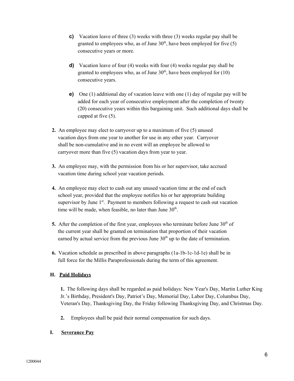- **c)** Vacation leave of three (3) weeks with three (3) weeks regular pay shall be granted to employees who, as of June  $30<sup>th</sup>$ , have been employed for five (5) consecutive years or more.
- **d)** Vacation leave of four (4) weeks with four (4) weeks regular pay shall be granted to employees who, as of June  $30<sup>th</sup>$ , have been employed for (10) consecutive years.
- **e)** One (1) additional day of vacation leave with one (1) day of regular pay will be added for each year of consecutive employment after the completion of twenty (20) consecutive years within this bargaining unit. Such additional days shall be capped at five (5).
- **2.** An employee may elect to carryover up to a maximum of five (5) unused vacation days from one year to another for use in any other year. Carryover shall be non-cumulative and in no event will an employee be allowed to carryover more than five (5) vacation days from year to year.
- **3.** An employee may, with the permission from his or her supervisor, take accrued vacation time during school year vacation periods.
- **4.** An employee may elect to cash out any unused vacation time at the end of each school year, provided that the employee notifies his or her appropriate building supervisor by June 1<sup>st</sup>. Payment to members following a request to cash out vacation time will be made, when feasible, no later than June  $30<sup>th</sup>$ .
- **5.** After the completion of the first year, employees who terminate before June  $30<sup>th</sup>$  of the current year shall be granted on termination that proportion of their vacation earned by actual service from the previous June  $30<sup>th</sup>$  up to the date of termination.
- **6.** Vacation schedule as prescribed in above paragraphs (1a-1b-1c-1d-1e) shall be in full force for the Millis Paraprofessionals during the term of this agreement.

## **H. Paid Holidays**

**1.** The following days shall be regarded as paid holidays: New Year's Day, Martin Luther King Jr.'s Birthday, President's Day, Patriot's Day, Memorial Day, Labor Day, Columbus Day, Veteran's Day, Thanksgiving Day, the Friday following Thanksgiving Day, and Christmas Day.

**2.** Employees shall be paid their normal compensation for such days.

## **I. Severance Pay**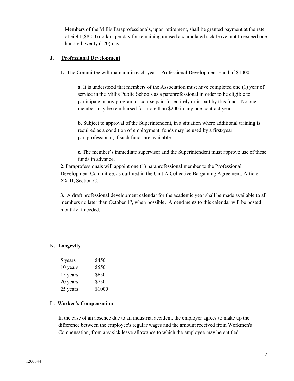Members of the Millis Paraprofessionals, upon retirement, shall be granted payment at the rate of eight (\$8.00) dollars per day for remaining unused accumulated sick leave, not to exceed one hundred twenty (120) days.

#### **J. Professional Development**

**1.** The Committee will maintain in each year a Professional Development Fund of \$1000.

**a.** It is understood that members of the Association must have completed one (1) year of service in the Millis Public Schools as a paraprofessional in order to be eligible to participate in any program or course paid for entirely or in part by this fund. No one member may be reimbursed for more than \$200 in any one contract year.

**b.** Subject to approval of the Superintendent, in a situation where additional training is required as a condition of employment, funds may be used by a first-year paraprofessional, if such funds are available.

**c.** The member's immediate supervisor and the Superintendent must approve use of these funds in advance.

**2**. Paraprofessionals will appoint one (1) paraprofessional member to the Professional Development Committee, as outlined in the Unit A Collective Bargaining Agreement, Article XXIII, Section C.

**3.** A draft professional development calendar for the academic year shall be made available to all members no later than October 1<sup>st</sup>, when possible. Amendments to this calendar will be posted monthly if needed.

## **K. Longevity**

| 5 years  | \$450  |
|----------|--------|
| 10 years | \$550  |
| 15 years | \$650  |
| 20 years | \$750  |
| 25 years | \$1000 |

#### **L. Worker's Compensation**

In the case of an absence due to an industrial accident, the employer agrees to make up the difference between the employee's regular wages and the amount received from Workmen's Compensation, from any sick leave allowance to which the employee may be entitled.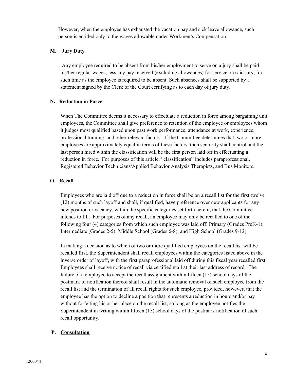However, when the employee has exhausted the vacation pay and sick leave allowance, such person is entitled only to the wages allowable under Workmen's Compensation.

#### **M. Jury Duty**

Any employee required to be absent from his/her employment to serve on a jury shall be paid his/her regular wages, less any pay received (excluding allowances) for service on said jury, for such time as the employee is required to be absent. Such absences shall be supported by a statement signed by the Clerk of the Court certifying as to each day of jury duty.

#### **N. Reduction in Force**

When The Committee deems it necessary to effectuate a reduction in force among bargaining unit employees, the Committee shall give preference to retention of the employee or employees whom it judges most qualified based upon past work performance, attendance at work, experience, professional training, and other relevant factors. If the Committee determines that two or more employees are approximately equal in terms of these factors, then seniority shall control and the last person hired within the classification will be the first person laid off in effectuating a reduction in force. For purposes of this article, "classification" includes paraprofessional, Registered Behavior Technicians/Applied Behavior Analysis Therapists, and Bus Monitors.

## **O. Recall**

Employees who are laid off due to a reduction in force shall be on a recall list for the first twelve (12) months of such layoff and shall, if qualified, have preference over new applicants for any new position or vacancy, within the specific categories set forth herein, that the Committee intends to fill. For purposes of any recall, an employee may only be recalled to one of the following four (4) categories from which such employee was laid off: Primary (Grades PreK-1); Intermediate (Grades 2-5); Middle School (Grades 6-8); and High School (Grades 9-12)

In making a decision as to which of two or more qualified employees on the recall list will be recalled first, the Superintendent shall recall employees within the categories listed above in the inverse order of layoff, with the first paraprofessional laid off during this fiscal year recalled first. Employees shall receive notice of recall via certified mail at their last address of record. The failure of a employee to accept the recall assignment within fifteen (15) school days of the postmark of notification thereof shall result in the automatic removal of such employee from the recall list and the termination of all recall rights for such employee, provided, however, that the employee has the option to decline a position that represents a reduction in hours and/or pay without forfeiting his or her place on the recall list, so long as the employee notifies the Superintendent in writing within fifteen (15) school days of the postmark notification of such recall opportunity.

## **P. Consultation**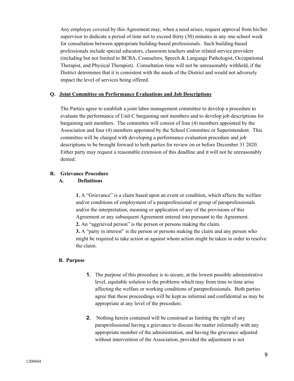Any employee covered by this Agreement may, when a need arises, request approval from his/her supervisor to dedicate a period of time not to exceed thirty (30) minutes in any one school week for consultation between appropriate building-based professionals. Such building-based professionals include special educators, classroom teachers and/or related service providers (including but not limited to BCBA, Counselors, Speech & Language Pathologist, Occupational Therapist, and Physical Therapist). Consultation time will not be unreasonably withheld, if the District determines that it is consistent with the needs of the District and would not adversely impact the level of services being offered.

#### **Q. Joint Committee on Performance Evaluations and Job Descriptions**

The Parties agree to establish a joint labor management committee to develop a procedure to evaluate the performance of Unit C bargaining unit members and to develop job descriptions for bargaining unit members. The committee will consist of four (4) members appointed by the Association and four (4) members appointed by the School Committee or Superintendent. This committee will be charged with developing a performance evaluation procedure and job descriptions to be brought forward to both parties for review on or before December 31 2020. Either party may request a reasonable extension of this deadline and it will not be unreasonably denied.

## **R. Grievance Procedure**

#### **A. Definitions**

**1.** A "Grievance" is a claim based upon an event or condition, which affects the welfare and/or conditions of employment of a paraprofessional or group of paraprofessionals and/or the interpretation, meaning or application of any of the provisions of this Agreement or any subsequent Agreement entered into pursuant to the Agreement. **2.** An "aggrieved person" is the person or persons making the claim.

**3.** A "party in interest" is the person or persons making the claim and any person who might be required to take action or against whom action might be taken in order to resolve the claim.

## **B. Purpose**

- **1.** The purpose of this procedure is to secure, at the lowest possible administrative level, equitable solution to the problems which may from time to time arise affecting the welfare or working conditions of paraprofessionals. Both parties agree that these proceedings will be kept as informal and confidential as may be appropriate at any level of the procedure.
- **2.** Nothing herein contained will be construed as limiting the right of any paraprofessional having a grievance to discuss the matter informally with any appropriate member of the administration, and having the grievance adjusted without intervention of the Association, provided the adjustment is not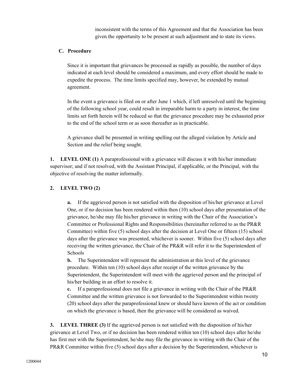inconsistent with the terms of this Agreement and that the Association has been given the opportunity to be present at such adjustment and to state its views.

#### **C. Procedure**

Since it is important that grievances be processed as rapidly as possible, the number of days indicated at each level should be considered a maximum, and every effort should be made to expedite the process. The time limits specified may, however, be extended by mutual agreement.

In the event a grievance is filed on or after June 1 which, if left unresolved until the beginning of the following school year, could result in irreparable harm to a party in interest, the time limits set forth herein will be reduced so that the grievance procedure may be exhausted prior to the end of the school term or as soon thereafter as in practicable.

A grievance shall be presented in writing spelling out the alleged violation by Article and Section and the relief being sought.

**1. LEVEL ONE (1)** A paraprofessional with a grievance will discuss it with his/her immediate supervisor; and if not resolved, with the Assistant Principal, if applicable, or the Principal, with the objective of resolving the matter informally.

# **2. LEVEL TWO (2)**

**a.** If the aggrieved person is not satisfied with the disposition of his/her grievance at Level One, or if no decision has been rendered within then (10) school days after presentation of the grievance, he/she may file his/her grievance in writing with the Chair of the Association's Committee or Professional Rights and Responsibilities (hereinafter referred to as the PR&R Committee) within five (5) school days after the decision at Level One or fifteen (15) school days after the grievance was presented, whichever is sooner. Within five (5) school days after receiving the written grievance, the Chair of the PR&R will refer it to the Superintendent of Schools

**b.** The Superintendent will represent the administration at this level of the grievance procedure. Within ten (10) school days after receipt of the written grievance by the Superintendent, the Superintendent will meet with the aggrieved person and the principal of his/her building in an effort to resolve it.

**c.** If a paraprofessional does not file a grievance in writing with the Chair of the PR&R Committee and the written grievance is not forwarded to the Superintendent within twenty (20) school days after the paraprofessional knew or should have known of the act or condition on which the grievance is based, then the grievance will be considered as waived.

**3. LEVEL THREE (3)** If the aggrieved person is not satisfied with the disposition of his/her grievance at Level Two, or if no decision has been rendered within ten (10) school days after he/she has first met with the Superintendent, he/she may file the grievance in writing with the Chair of the PR&R Committee within five (5) school days after a decision by the Superintendent, whichever is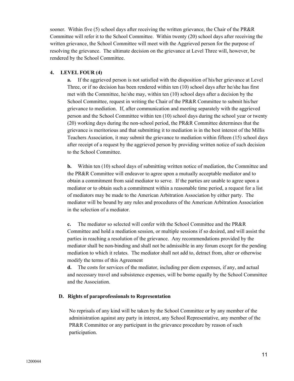sooner. Within five (5) school days after receiving the written grievance, the Chair of the PR&R Committee will refer it to the School Committee. Within twenty (20) school days after receiving the written grievance, the School Committee will meet with the Aggrieved person for the purpose of resolving the grievance. The ultimate decision on the grievance at Level Three will, however, be rendered by the School Committee.

#### **4. LEVEL FOUR (4)**

**a.** If the aggrieved person is not satisfied with the disposition of his/her grievance at Level Three, or if no decision has been rendered within ten (10) school days after he/she has first met with the Committee, he/she may, within ten (10) school days after a decision by the School Committee, request in writing the Chair of the PR&R Committee to submit his/her grievance to mediation. If, after communication and meeting separately with the aggrieved person and the School Committee within ten (10) school days during the school year or twenty (20) working days during the non-school period, the PR&R Committee determines that the grievance is meritorious and that submitting it to mediation is in the best interest of the Millis Teachers Association, it may submit the grievance to mediation within fifteen (15) school days after receipt of a request by the aggrieved person by providing written notice of such decision to the School Committee.

**b.** Within ten (10) school days of submitting written notice of mediation, the Committee and the PR&R Committee will endeavor to agree upon a mutually acceptable mediator and to obtain a commitment from said mediator to serve. If the parties are unable to agree upon a mediator or to obtain such a commitment within a reasonable time period, a request for a list of mediators may be made to the American Arbitration Association by either party. The mediator will be bound by any rules and procedures of the American Arbitration Association in the selection of a mediator.

**c.** The mediator so selected will confer with the School Committee and the PR&R Committee and hold a mediation session, or multiple sessions if so desired, and will assist the parties in reaching a resolution of the grievance. Any recommendations provided by the mediator shall be non-binding and shall not be admissible in any forum except for the pending mediation to which it relates. The mediator shall not add to, detract from, alter or otherwise modify the terms of this Agreement

**d.** The costs for services of the mediator, including per diem expenses, if any, and actual and necessary travel and subsistence expenses, will be borne equally by the School Committee and the Association.

## **D. Rights of paraprofessionals to Representation**

No reprisals of any kind will be taken by the School Committee or by any member of the administration against any party in interest, any School Representative, any member of the PR&R Committee or any participant in the grievance procedure by reason of such participation.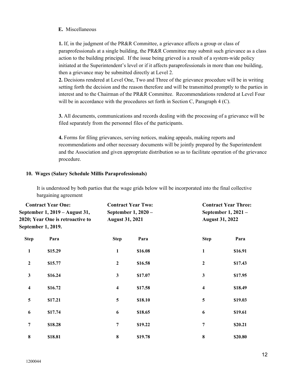#### **E.** Miscellaneous

**1.** If, in the judgment of the PR&R Committee, a grievance affects a group or class of paraprofessionals at a single building, the PR&R Committee may submit such grievance as a class action to the building principal. If the issue being grieved is a result of a system-wide policy initiated at the Superintendent's level or if it affects paraprofessionals in more than one building, then a grievance may be submitted directly at Level 2.

**2.** Decisions rendered at Level One, Two and Three of the grievance procedure will be in writing setting forth the decision and the reason therefore and will be transmitted promptly to the parties in interest and to the Chairman of the PR&R Committee. Recommendations rendered at Level Four will be in accordance with the procedures set forth in Section C, Paragraph 4 (C).

**3.** All documents, communications and records dealing with the processing of a grievance will be filed separately from the personnel files of the participants.

**4.** Forms for filing grievances, serving notices, making appeals, making reports and recommendations and other necessary documents will be jointly prepared by the Superintendent and the Association and given appropriate distribution so as to facilitate operation of the grievance procedure.

#### **10. Wages (Salary Schedule Millis Paraprofessionals)**

It is understood by both parties that the wage grids below will be incorporated into the final collective bargaining agreement

| <b>Contract Year One:</b><br>September 1, 2019 - August 31,<br>2020; Year One is retroactive to<br>September 1, 2019. |         | <b>Contract Year Two:</b><br>September 1, 2020 -<br><b>August 31, 2021</b> |         | <b>Contract Year Three:</b><br>September 1, 2021 -<br><b>August 31, 2022</b> |         |
|-----------------------------------------------------------------------------------------------------------------------|---------|----------------------------------------------------------------------------|---------|------------------------------------------------------------------------------|---------|
| <b>Step</b>                                                                                                           | Para    | <b>Step</b>                                                                | Para    | <b>Step</b>                                                                  | Para    |
| 1                                                                                                                     | \$15.29 | $\mathbf{1}$                                                               | \$16.08 | $\mathbf{1}$                                                                 | \$16.91 |
| $\boldsymbol{2}$                                                                                                      | \$15.77 | $\mathbf{2}$                                                               | \$16.58 | $\boldsymbol{2}$                                                             | \$17.43 |
| $\mathbf{3}$                                                                                                          | \$16.24 | 3                                                                          | \$17.07 | $\mathbf{3}$                                                                 | \$17.95 |
| $\overline{\mathbf{4}}$                                                                                               | \$16.72 | $\overline{\mathbf{4}}$                                                    | \$17.58 | $\overline{\mathbf{4}}$                                                      | \$18.49 |
| 5                                                                                                                     | \$17.21 | 5                                                                          | \$18.10 | 5                                                                            | \$19.03 |
| 6                                                                                                                     | \$17.74 | 6                                                                          | \$18.65 | 6                                                                            | \$19.61 |
| 7                                                                                                                     | \$18.28 | 7                                                                          | \$19.22 | 7                                                                            | \$20.21 |
| 8                                                                                                                     | \$18.81 | $\bf{8}$                                                                   | \$19.78 | 8                                                                            | \$20.80 |